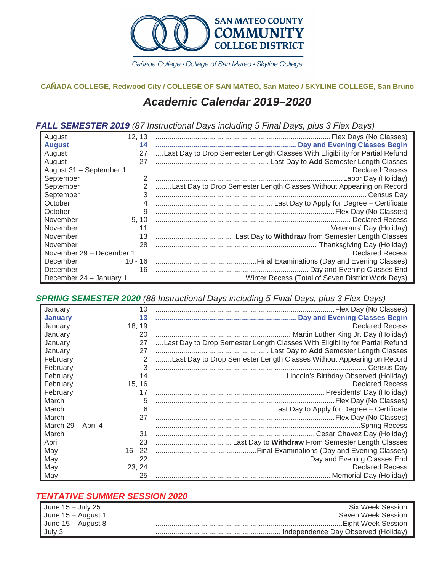

Cañada College · College of San Mateo · Skyline College

## **CAÑADA COLLEGE, Redwood City / COLLEGE OF SAN MATEO, San Mateo / SKYLINE COLLEGE, San Bruno** *Academic Calendar 2019–2020*

## *FALL SEMESTER 2019 (87 Instructional Days including 5 Final Days, plus 3 Flex Days)*

| August                   | 12, 13 |                                                                              |
|--------------------------|--------|------------------------------------------------------------------------------|
| <b>August</b>            | 14     |                                                                              |
| August                   | 27     | Last Day to Drop Semester Length Classes With Eligibility for Partial Refund |
| August                   | 27     |                                                                              |
| August 31 - September 1  |        |                                                                              |
| September                |        |                                                                              |
| September                |        | Last Day to Drop Semester Length Classes Without Appearing on Record         |
| September                | 3      |                                                                              |
| October                  |        |                                                                              |
| October                  | 9      |                                                                              |
| November                 | 9, 10  |                                                                              |
| November                 | 11     |                                                                              |
| November                 | 13     |                                                                              |
| November                 | 28     |                                                                              |
| November 29 - December 1 |        |                                                                              |
| December                 |        |                                                                              |
| December                 | 16     |                                                                              |
| December 24 - January 1  |        |                                                                              |

*SPRING SEMESTER 2020 (88 Instructional Days including 5 Final Days, plus 3 Flex Days)*

| January            | 10        |                                                                              |
|--------------------|-----------|------------------------------------------------------------------------------|
| <b>January</b>     | 13        |                                                                              |
| January            | 18.19     |                                                                              |
| January            | 20        |                                                                              |
| January            | 27        | Last Day to Drop Semester Length Classes With Eligibility for Partial Refund |
| January            | 27        |                                                                              |
| February           | 2         | Last Day to Drop Semester Length Classes Without Appearing on Record         |
| February           | 3         |                                                                              |
| February           | 14        |                                                                              |
| February           | 15, 16    |                                                                              |
| February           | 17        |                                                                              |
| March              | 5         |                                                                              |
| March              | 6         |                                                                              |
| March              | 27        |                                                                              |
| March 29 - April 4 |           |                                                                              |
| March              | 31        |                                                                              |
| April              | 23        |                                                                              |
| May                | $16 - 22$ |                                                                              |
| May                | 22        |                                                                              |
| May                | 23.24     |                                                                              |
| May                | 25        |                                                                              |

## *TENTATIVE SUMMER SESSION 2020*

| June $15 -$ July 25 | . Six Week Session                  |
|---------------------|-------------------------------------|
| June 15 – August 1  | .Seven Week Session.                |
| June 15 – August 8  | Eight Week Session                  |
| $\vert$ July 3      | Independence Day Observed (Holiday) |